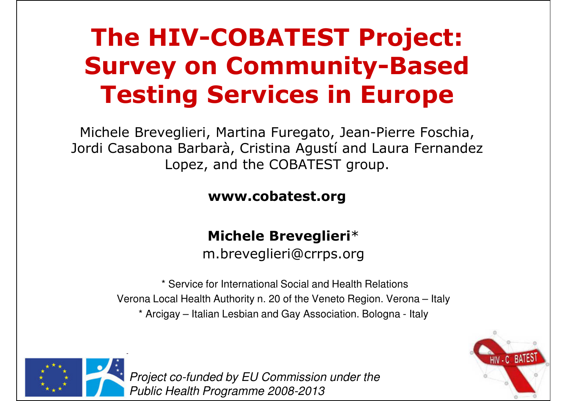# The HIV-COBATEST Project: Survey on Community-Based Testing Services in Europe

Michele Breveglieri, Martina Furegato, Jean-Pierre Foschia, Jordi Casabona Barbarà, Cristina Agustí and Laura Fernandez Lopez, and the COBATEST group.

www.cobatest.org

#### Michele Breveglieri\*

m.breveglieri@crrps.org

\* Service for International Social and Health RelationsVerona Local Health Authority n. 20 of the Veneto Region. Verona – Italy\* Arcigay – Italian Lesbian and Gay Association. Bologna - Italy





Project co-funded by EU Commission under the Public Health Programme 2008-2013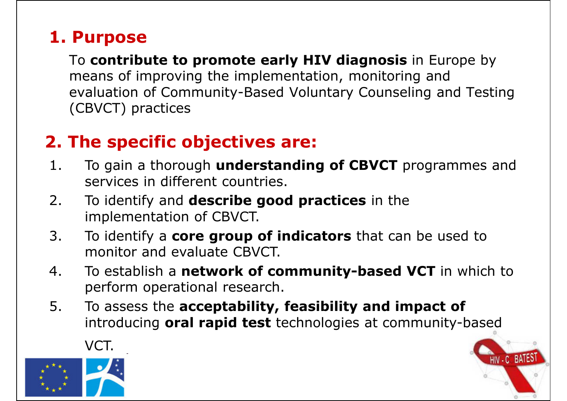### 1. Purpose

To contribute to promote early HIV diagnosis in Europe by means of improving the implementation, monitoring and evaluation of Community-Based Voluntary Counseling and Testing (CBVCT) practices

# 2. The specific objectives are:

- 1. To gain a thorough understanding of CBVCT programmes and services in different countries.
- 2. To identify and **describe good practices** in the implementation of CBVCT.
- 3. To identify a core group of indicators that can be used to monitor and evaluate CBVCT.
- 4.To establish a network of community-based VCT in which to perform operational research.
- 5. To assess the acceptability, feasibility and impact of introducing **oral rapid test** technologies at community-based

VCT.



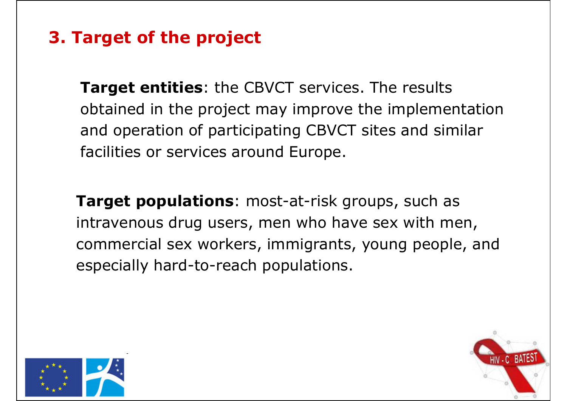### 3. Target of the project

**Target entities:** the CBVCT services. The results obtained in the project may improve the implementation and operation of participating CBVCT sites and similar facilities or services around Europe.

**Target populations:** most-at-risk groups, such as intravenous drug users, men who have sex with men, commercial sex workers, immigrants, young people, and especially hard-to-reach populations.



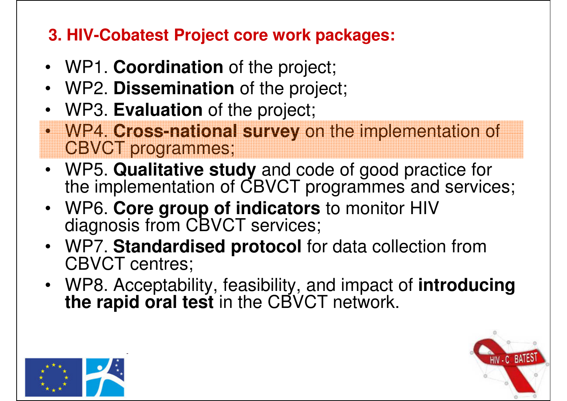# **3. HIV-Cobatest Project core work packages:**

- WP1. **Coordination** of the project;
- •WP2. **Dissemination** of the project;
- •WP3. **Evaluation** of the project;
- •• WP4. **Cross-national survey** on the implementation of CBVCT programmes;
- WP5. **Qualitative study** and code of good practice for the implementation of CBVCT programmes and services;
- • WP6. **Core group of indicators** to monitor HIV diagnosis from CBVCT services;
- WP7. **Standardised protocol** for data collection from CBVCT centres;
- WP8. Acceptability, feasibility, and impact of **introducing the rapid oral test** in the CBVCT network.



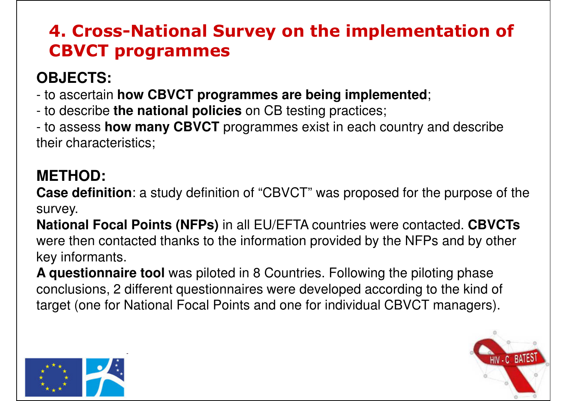### 4. Cross-National Survey on the implementation of CBVCT programmes

### **OBJECTS:**

to ascertain **how CBVCT programmes are being implemented**;

to describe **the national policies** on CB testing practices;

 to assess **how many CBVCT** programmes exist in each country and describe their characteristics;

#### **METHOD:**

 **Case definition**: a study definition of "CBVCT" was proposed for the purpose of the survey.

**National Focal Points (NFPs)** in all EU/EFTA countries were contacted. **CBVCTs** were then contacted thanks to the information provided by the NFPs and by other key informants.

**A questionnaire tool** was piloted in 8 Countries. Following the piloting phase conclusions, 2 different questionnaires were developed according to the kind of target (one for National Focal Points and one for individual CBVCT managers).



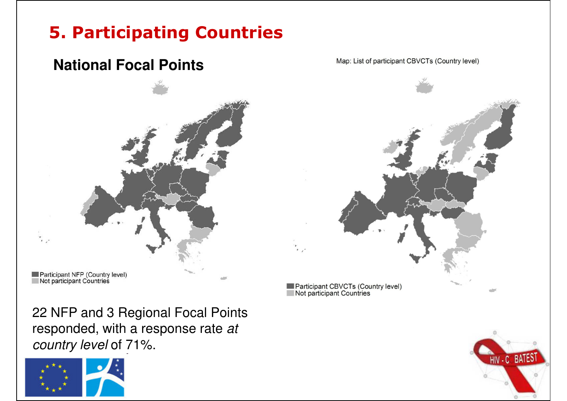### 5. Participating Countries

#### **National Focal Points**<br>**Map: List of participant CBVCTs (Country level)**





22 NFP and 3 Regional Focal Points responded, with a response rate at country level of 71%.



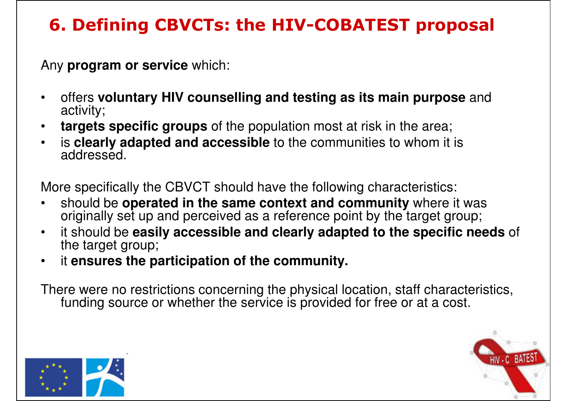# 6. Defining CBVCTs: the HIV-COBATEST proposal

Any **program or service** which:

- • offers **voluntary HIV counselling and testing as its main purpose** and activity;
- •**targets specific groups** of the population most at risk in the area;
- $\bullet$  is **clearly adapted and accessible** to the communities to whom it is addressed.

More specifically the CBVCT should have the following characteristics:

- • should be **operated in the same context and community** where it was originally set up and perceived as a reference point by the target group;
- it should be **easily accessible and clearly adapted to the specific needs** of •the target group;
- •it **ensures the participation of the community.**

There were no restrictions concerning the physical location, staff characteristics, funding source or whether the service is provided for free or at a cost.



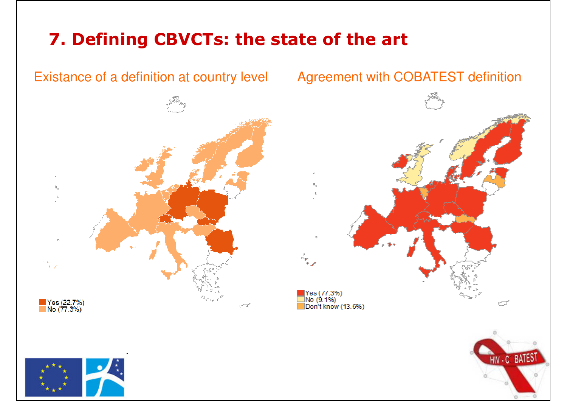## 7. Defining CBVCTs: the state of the art

### Existance of a definition at country level Agreement with COBATEST definition19 NFP and regional focal points (76%) reproduced that a definition of CBVCT in the contract of CBVCT in the contract of CBVCT in the contract of CBVCT in the contract of CBVCT in the contract of CBVCT in the contract of CBVCT in the contract of CBVCT in the co the interest of the country doesn't exist, and  $\mathfrak{h}_1$ 14 agreed with the study of the study of the study of the study of the study of the study of the study of the 2 didn't agree to be a green to be a green to be a green to be a green to be a green to be a green to be a green 3 didn't know.IYes (77.3%)<br>INo (9.1%)<br>IDon't know (13.6%) ██ Yes (22.7%)<br>██ No (77.3%)  $\in \mathbb{R}^d$ سميس

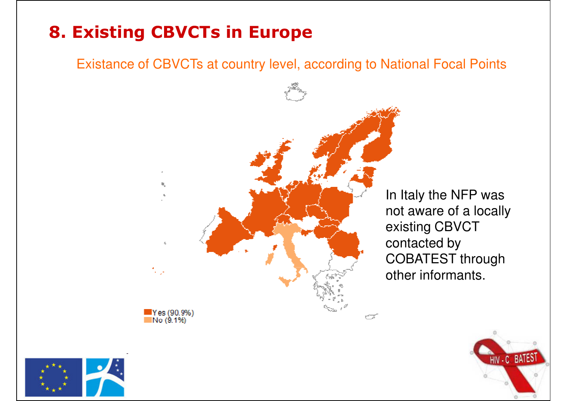# 8. Existing CBVCTs in Europe

Existance of CBVCTs at country level, according to National Focal Points



In Italy the NFP was not aware of a locally existing CBVCT contacted by COBATEST through other informants.



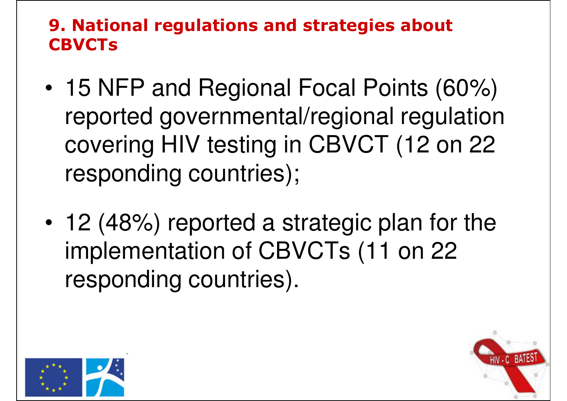### 9. National regulations and strategies about **CBVCTs**

- • 15 NFP and Regional Focal Points (60%) reported governmental/regional regulation covering HIV testing in CBVCT (12 on 22 responding countries);
- • 12 (48%) reported a strategic plan for the implementation of CBVCTs (11 on 22 responding countries).



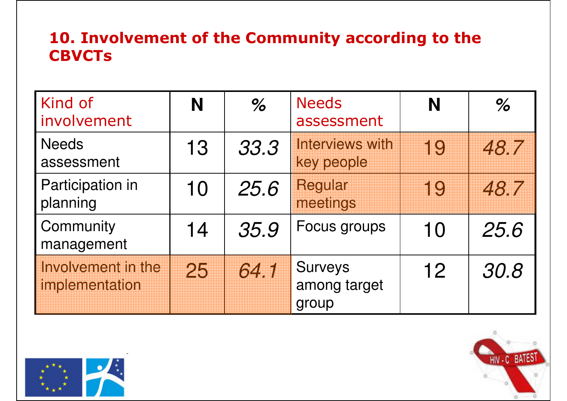#### 10. Involvement of the Community according to the **CBVCTs**

| Kind of<br>involvement                      | N  | $\%$ | <b>Needs</b><br>assessment           | N  | $\%$ |
|---------------------------------------------|----|------|--------------------------------------|----|------|
| <b>Needs</b><br>assessment                  | 13 | 33.3 | <b>Interviews with</b><br>key people | 19 | 48.7 |
| Participation in<br>planning                | 10 | 25.6 | Regular<br>meetings                  | 19 | 48.7 |
| Community<br>management                     | 14 | 35.9 | Focus groups                         | 10 | 25.6 |
| <b>Involvement in the</b><br>implementation | 25 | 64.1 | Surveys<br>among target<br>group     | 12 | 30.8 |



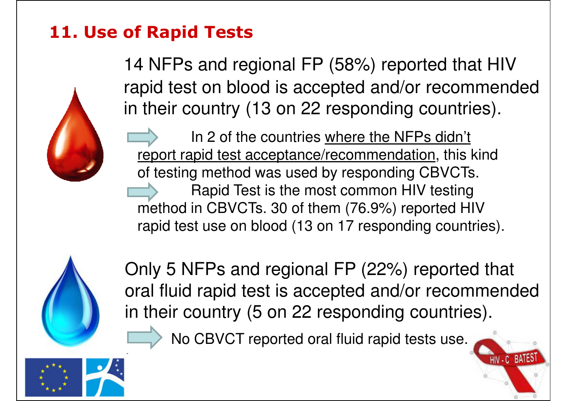## 11. Use of Rapid Tests

14 NFPs and regional FP (58%) reported that HIV rapid test on blood is accepted and/or recommended in their country (13 on 22 responding countries).

In 2 of the countries where the NFPs didn't report rapid test acceptance/recommendation, this kind of testing method was used by responding CBVCTs.Rapid Test is the most common HIV testing method in CBVCTs. 30 of them (76.9%) reported HIV rapid test use on blood (13 on 17 responding countries).

Only 5 NFPs and regional FP (22%) reported that oral fluid rapid test is accepted and/or recommended in their country (5 on 22 responding countries).

No CBVCT reported oral fluid rapid tests use.



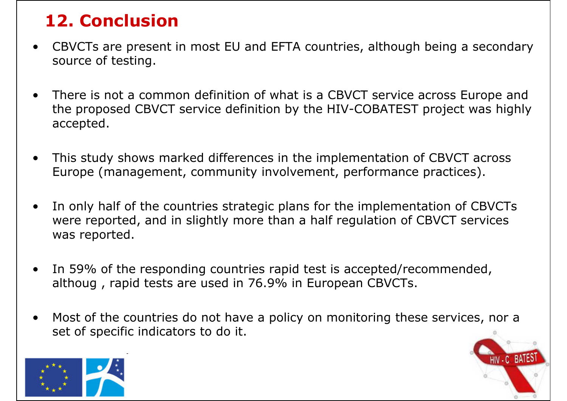### 12. Conclusion

- $\bullet$  CBVCTs are present in most EU and EFTA countries, although being a secondary source of testing.
- $\bullet$  There is not a common definition of what is a CBVCT service across Europe and the proposed CBVCT service definition by the HIV-COBATEST project was highly accepted.
- $\bullet$  This study shows marked differences in the implementation of CBVCT across Europe (management, community involvement, performance practices).
- $\bullet$  In only half of the countries strategic plans for the implementation of CBVCTs were reported, and in slightly more than a half regulation of CBVCT services was reported.
- $\bullet$  In 59% of the responding countries rapid test is accepted/recommended, althoug , rapid tests are used in 76.9% in European CBVCTs.
- $\bullet$  Most of the countries do not have a policy on monitoring these services, nor a set of specific indicators to do it.

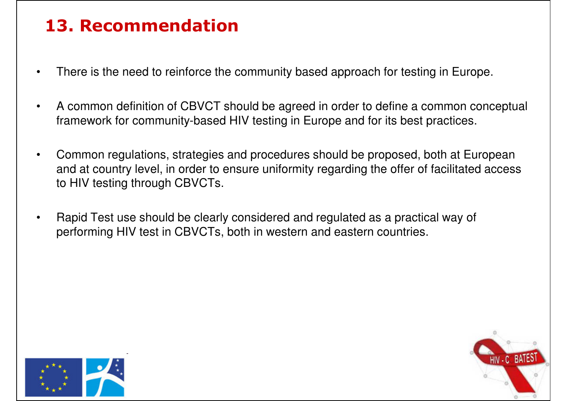### 13. Recommendation

- •There is the need to reinforce the community based approach for testing in Europe.
- $\bullet$  A common definition of CBVCT should be agreed in order to define a common conceptual framework for community-based HIV testing in Europe and for its best practices.
- • Common regulations, strategies and procedures should be proposed, both at European and at country level, in order to ensure uniformity regarding the offer of facilitated access to HIV testing through CBVCTs.
- • Rapid Test use should be clearly considered and regulated as a practical way of performing HIV test in CBVCTs, both in western and eastern countries.



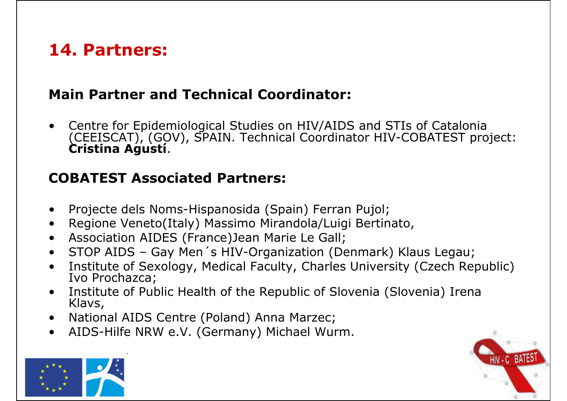### 14. Partners:

#### Main Partner and Technical Coordinator:

 $\bullet$ Centre for Epidemiological Studies on HIV/AIDS and STIs of Catalonia<br>(CEEISCAT), (GOV), SPAIN. Technical Coordinator HIV-COBATEST project:<br>**Cristina Agustí**.

#### COBATEST Associated Partners:

- •Projecte dels Noms-Hispanosida (Spain) Ferran Pujol;
- •Regione Veneto(Italy) Massimo Mirandola/Luigi Bertinato,
- •Association AIDES (France)Jean Marie Le Gall;
- •STOP AIDS – Gay Men´s HIV-Organization (Denmark) Klaus Legau;
- •Institute of Sexology, Medical Faculty, Charles University (Czech Republic) Ivo Prochazca;
- Institute of Public Health of the Republic of Slovenia (Slovenia) Irena Klavs, •
- National AIDS Centre (Poland) Anna Marzec;  $\bullet$
- •AIDS-Hilfe NRW e.V. (Germany) Michael Wurm.